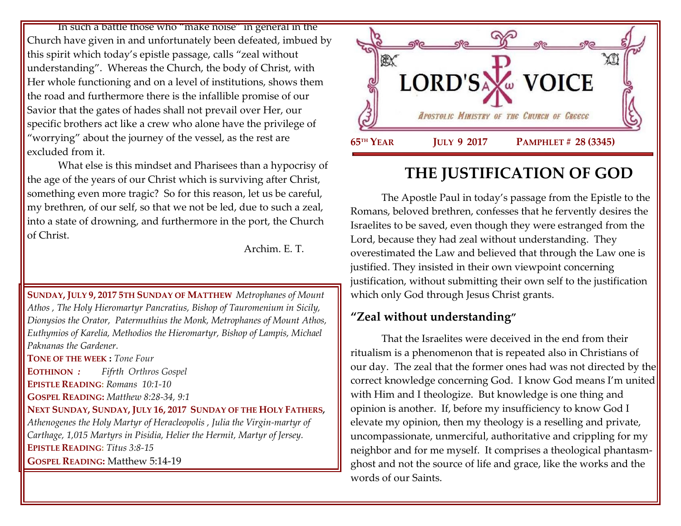In such a battle those who "make noise" in general in the Church have given in and unfortunately been defeated, imbued by this spirit which today's epistle passage, calls "zeal without understanding". Whereas the Church, the body of Christ, with Her whole functioning and on a level of institutions, shows them the road and furthermore there is the infallible promise of our Savior that the gates of hades shall not prevail over Her, our specific brothers act like a crew who alone have the privilege of "worrying" about the journey of the vessel, as the rest are excluded from it.

What else is this mindset and Pharisees than a hypocrisy of the age of the years of our Christ which is surviving after Christ, something even more tragic? So for this reason, let us be careful, my brethren, of our self, so that we not be led, due to such a zeal, into a state of drowning, and furthermore in the port, the Church of Christ.

Archim. E. T.

**SUNDAY, JULY 9, 2017 5TH SUNDAY OF MATTHEW** *Metrophanes of Mount Athos , The Holy Hieromartyr Pancratius, Bishop of Tauromenium in Sicily, Dionysios the Orator, Patermuthius the Monk, Metrophanes of Mount Athos, Euthymios of Karelia, Methodios the Hieromartyr, Bishop of Lampis, Michael Paknanas the Gardener.*  **TONE OF THE WEEK :** *Tone Four*

**EOTHINON** *: Fifrth Orthros Gospel* **EPISTLE READING:** *[Romans 10:1-10](https://www.goarch.org/chapel/lectionary?type=epistle&code=27&event=940&date=5/28/2017)* 

**GOSPEL READING:** *[Matthew 8:28-34, 9:1](https://www.goarch.org/chapel/lectionary?type=gospel&code=43&event=940&date=5/28/2017)*

**NEXT SUNDAY, SUNDAY, JULY 16, 2017 SUNDAY OF THE HOLY FATHERS***, [Athenogenes the Holy Martyr of Heracleopolis](https://www.goarch.org/chapel/saints?contentid=130) , Julia the Virgin-martyr of Carthage, 1,015 Martyrs in Pisidia, Helier the Hermit, Martyr of Jersey.* **EPISTLE READING:** *[Titus 3:8-15](https://www.goarch.org/chapel/lectionary?type=epistle&code=27&event=940&date=5/28/2017)* **GOSPEL READING:** [Matthew](https://www.goarch.org/chapel/lectionary?type=gospel&code=43&event=940&date=5/28/2017) 5:14-19

國 **LORD'SA** W VOICE APOSTOLIC MINISTRY OF THE CHURCH OF GREECE **65TH YEAR TH YEAR JULY 9 2017 PAMPHLET # 28 (3345)** Ï

# **THE JUSTIFICATION OF GOD**

The Apostle Paul in today's passage from the Epistle to the Romans, beloved brethren, confesses that he fervently desires the Israelites to be saved, even though they were estranged from the Lord, because they had zeal without understanding. They overestimated the Law and believed that through the Law one is justified. They insisted in their own viewpoint concerning justification, without submitting their own self to the justification which only God through Jesus Christ grants.

# **"Zeal without understanding"**

That the Israelites were deceived in the end from their ritualism is a phenomenon that is repeated also in Christians of our day. The zeal that the former ones had was not directed by the correct knowledge concerning God. I know God means I'm united with Him and I theologize. But knowledge is one thing and opinion is another. If, before my insufficiency to know God I elevate my opinion, then my theology is a reselling and private, uncompassionate, unmerciful, authoritative and crippling for my neighbor and for me myself. It comprises a theological phantasmghost and not the source of life and grace, like the works and the words of our Saints.